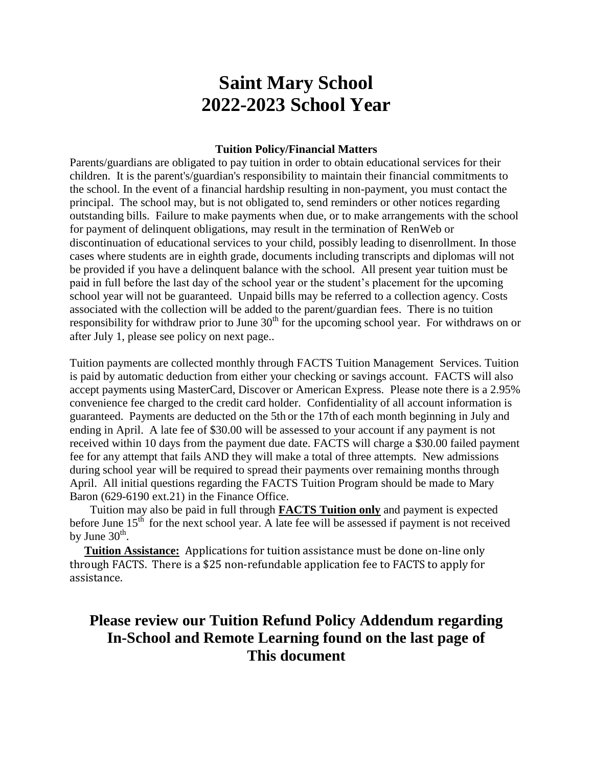# **Saint Mary School 2022-2023 School Year**

#### **Tuition Policy/Financial Matters**

Parents/guardians are obligated to pay tuition in order to obtain educational services for their children. It is the parent's/guardian's responsibility to maintain their financial commitments to the school. In the event of a financial hardship resulting in non-payment, you must contact the principal. The school may, but is not obligated to, send reminders or other notices regarding outstanding bills. Failure to make payments when due, or to make arrangements with the school for payment of delinquent obligations, may result in the termination of RenWeb or discontinuation of educational services to your child, possibly leading to disenrollment. In those cases where students are in eighth grade, documents including transcripts and diplomas will not be provided if you have a delinquent balance with the school. All present year tuition must be paid in full before the last day of the school year or the student's placement for the upcoming school year will not be guaranteed. Unpaid bills may be referred to a collection agency. Costs associated with the collection will be added to the parent/guardian fees. There is no tuition responsibility for withdraw prior to June  $30<sup>th</sup>$  for the upcoming school year. For withdraws on or after July 1, please see policy on next page..

Tuition payments are collected monthly through FACTS Tuition Management Services. Tuition is paid by automatic deduction from either your checking or savings account. FACTS will also accept payments using MasterCard, Discover or American Express. Please note there is a 2.95% convenience fee charged to the credit card holder. Confidentiality of all account information is guaranteed. Payments are deducted on the 5th or the 17th of each month beginning in July and ending in April. A late fee of \$30.00 will be assessed to your account if any payment is not received within 10 days from the payment due date. FACTS will charge a \$30.00 failed payment fee for any attempt that fails AND they will make a total of three attempts. New admissions during school year will be required to spread their payments over remaining months through April. All initial questions regarding the FACTS Tuition Program should be made to Mary Baron (629-6190 ext.21) in the Finance Office.

 Tuition may also be paid in full through **FACTS Tuition only** and payment is expected before June  $15<sup>th</sup>$  for the next school year. A late fee will be assessed if payment is not received by June  $30<sup>th</sup>$ .

 **Tuition Assistance:** Applications for tuition assistance must be done on-line only through FACTS. There is a \$25 non-refundable application fee to FACTS to apply for assistance.

# **Please review our Tuition Refund Policy Addendum regarding In-School and Remote Learning found on the last page of This document**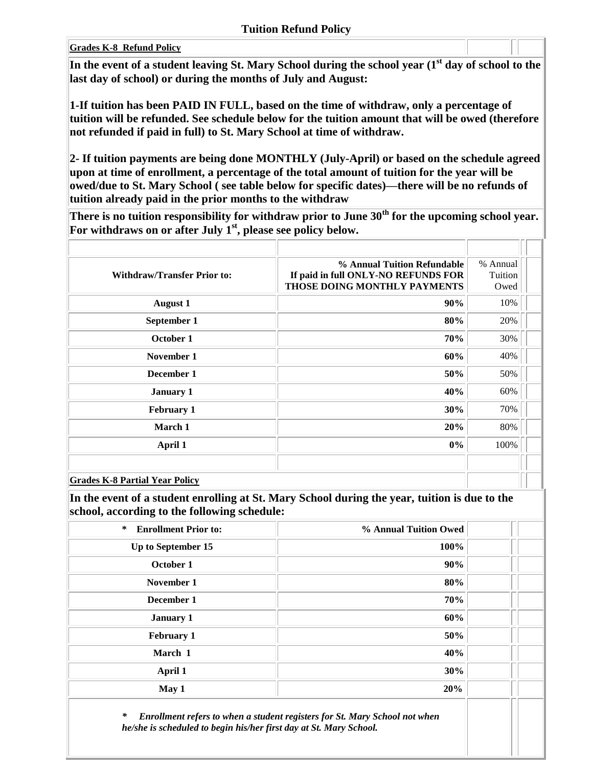#### **Grades K-8 Refund Policy**

**In the event of a student leaving St. Mary School during the school year (1st day of school to the last day of school) or during the months of July and August:**

**1-If tuition has been PAID IN FULL, based on the time of withdraw, only a percentage of tuition will be refunded. See schedule below for the tuition amount that will be owed (therefore not refunded if paid in full) to St. Mary School at time of withdraw.**

**2- If tuition payments are being done MONTHLY (July-April) or based on the schedule agreed upon at time of enrollment, a percentage of the total amount of tuition for the year will be owed/due to St. Mary School ( see table below for specific dates)—there will be no refunds of tuition already paid in the prior months to the withdraw**

**There is no tuition responsibility for withdraw prior to June 30th for the upcoming school year. For withdraws on or after July 1st, please see policy below.**

| <b>Withdraw/Transfer Prior to:</b>    | % Annual Tuition Refundable<br>If paid in full ONLY-NO REFUNDS FOR<br>THOSE DOING MONTHLY PAYMENTS | % Annual<br>Tuition<br>Owed |  |
|---------------------------------------|----------------------------------------------------------------------------------------------------|-----------------------------|--|
| <b>August 1</b>                       | 90%                                                                                                | 10%                         |  |
| September 1                           | 80%                                                                                                | 20%                         |  |
| October 1                             | 70%                                                                                                | 30%                         |  |
| November 1                            | 60%                                                                                                | 40%                         |  |
| December 1                            | 50%                                                                                                | 50%                         |  |
| <b>January 1</b>                      | 40%                                                                                                | 60%                         |  |
| <b>February 1</b>                     | 30%                                                                                                | 70%                         |  |
| March 1                               | 20%                                                                                                | 80%                         |  |
| April 1                               | $0\%$                                                                                              | 100%                        |  |
|                                       |                                                                                                    |                             |  |
| <b>Grades K-8 Partial Year Policy</b> |                                                                                                    |                             |  |

**In the event of a student enrolling at St. Mary School during the year, tuition is due to the school, according to the following schedule:** 

| $\ast$<br><b>Enrollment Prior to:</b> | % Annual Tuition Owed |  |
|---------------------------------------|-----------------------|--|
| Up to September 15                    | 100%                  |  |
| October 1                             | 90%                   |  |
| November 1                            | 80%                   |  |
| December 1                            | 70%                   |  |
| <b>January 1</b>                      | 60%                   |  |
| <b>February 1</b>                     | 50%                   |  |
| March 1                               | 40%                   |  |
| April 1                               | 30%                   |  |
| May 1                                 | 20%                   |  |
|                                       |                       |  |

*\* Enrollment refers to when a student registers for St. Mary School not when he/she is scheduled to begin his/her first day at St. Mary School.*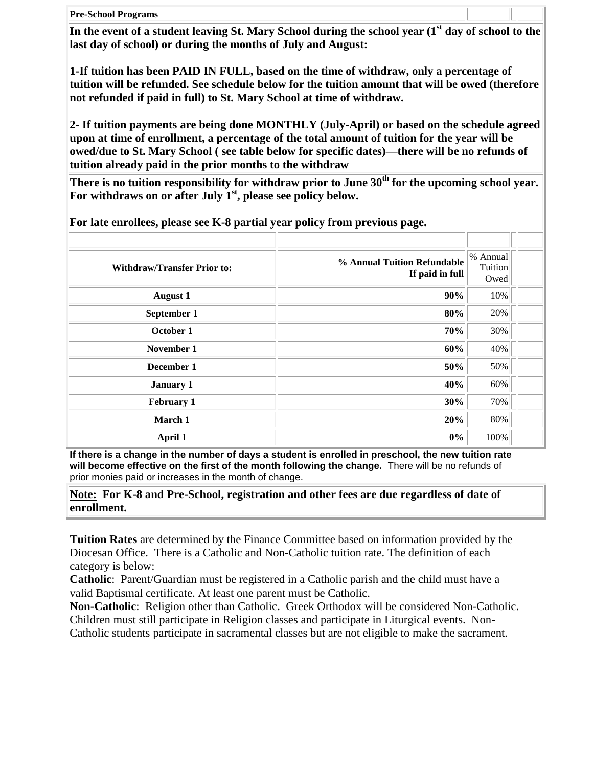**Pre-School Programs**

**In the event of a student leaving St. Mary School during the school year (1st day of school to the last day of school) or during the months of July and August:**

**1-If tuition has been PAID IN FULL, based on the time of withdraw, only a percentage of tuition will be refunded. See schedule below for the tuition amount that will be owed (therefore not refunded if paid in full) to St. Mary School at time of withdraw.**

**2- If tuition payments are being done MONTHLY (July-April) or based on the schedule agreed upon at time of enrollment, a percentage of the total amount of tuition for the year will be owed/due to St. Mary School ( see table below for specific dates)—there will be no refunds of tuition already paid in the prior months to the withdraw**

**There is no tuition responsibility for withdraw prior to June 30th for the upcoming school year. For withdraws on or after July 1st, please see policy below.**

| <b>Withdraw/Transfer Prior to:</b> | % Annual Tuition Refundable<br>If paid in full | % Annual<br>Tuition<br>Owed |  |
|------------------------------------|------------------------------------------------|-----------------------------|--|
| <b>August 1</b>                    | 90%                                            | 10%                         |  |
| September 1                        | 80%                                            | 20%                         |  |
| October 1                          | 70%                                            | 30%                         |  |
| November 1                         | 60%                                            | 40%                         |  |
| December 1                         | 50%                                            | 50%                         |  |
| January 1                          | 40%                                            | 60%                         |  |
| <b>February 1</b>                  | 30%                                            | 70%                         |  |
| March 1                            | 20%                                            | 80%                         |  |
| April 1                            | $0\%$                                          | 100%                        |  |

**For late enrollees, please see K-8 partial year policy from previous page.**

**If there is a change in the number of days a student is enrolled in preschool, the new tuition rate will become effective on the first of the month following the change.** There will be no refunds of prior monies paid or increases in the month of change.

**Note: For K-8 and Pre-School, registration and other fees are due regardless of date of enrollment.**

**Tuition Rates** are determined by the Finance Committee based on information provided by the Diocesan Office. There is a Catholic and Non-Catholic tuition rate. The definition of each category is below:

**Catholic**: Parent/Guardian must be registered in a Catholic parish and the child must have a valid Baptismal certificate. At least one parent must be Catholic.

**Non-Catholic**: Religion other than Catholic. Greek Orthodox will be considered Non-Catholic. Children must still participate in Religion classes and participate in Liturgical events. Non-Catholic students participate in sacramental classes but are not eligible to make the sacrament.